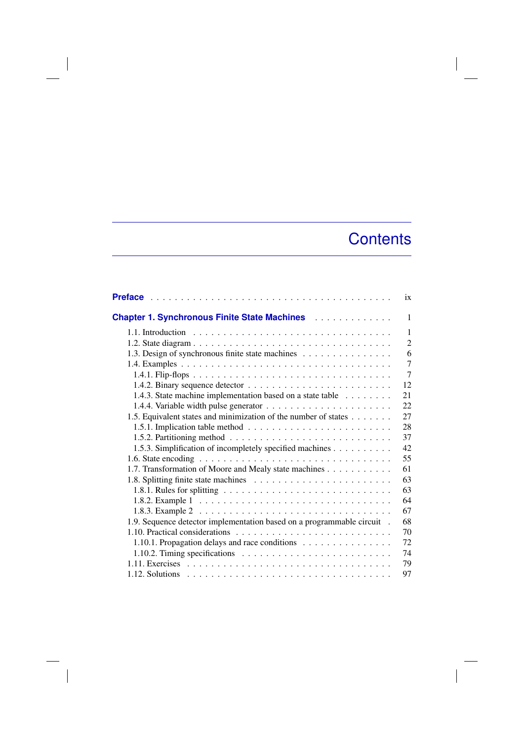## **Contents**

 $\overline{\phantom{a}}$ 

|                                                                                                    | ix             |
|----------------------------------------------------------------------------------------------------|----------------|
| <b>Chapter 1. Synchronous Finite State Machines Actual Activity</b>                                | 1              |
|                                                                                                    | $\mathbf{1}$   |
|                                                                                                    | $\overline{2}$ |
| 1.3. Design of synchronous finite state machines                                                   | 6              |
|                                                                                                    | $\overline{7}$ |
|                                                                                                    | $\overline{7}$ |
|                                                                                                    | 12             |
| 1.4.3. State machine implementation based on a state table                                         | 21             |
|                                                                                                    | 22             |
| 1.5. Equivalent states and minimization of the number of states                                    | 27             |
|                                                                                                    | 28             |
|                                                                                                    | 37             |
| 1.5.3. Simplification of incompletely specified machines                                           | 42             |
| 1.6. State encoding $\ldots \ldots \ldots \ldots \ldots \ldots \ldots \ldots \ldots \ldots \ldots$ | 55             |
| 1.7. Transformation of Moore and Mealy state machines                                              | 61             |
|                                                                                                    | 63             |
| 1.8.1. Rules for splitting $\ldots \ldots \ldots \ldots \ldots \ldots \ldots \ldots \ldots$        | 63             |
|                                                                                                    | 64             |
|                                                                                                    | 67             |
| 1.9. Sequence detector implementation based on a programmable circuit .                            | 68             |
|                                                                                                    | 70             |
| 1.10.1. Propagation delays and race conditions                                                     | 72             |
| 1.10.2. Timing specifications $\ldots \ldots \ldots \ldots \ldots \ldots \ldots \ldots$            | 74             |
|                                                                                                    | 79             |
|                                                                                                    | 97             |

 $\begin{array}{c} \hline \end{array}$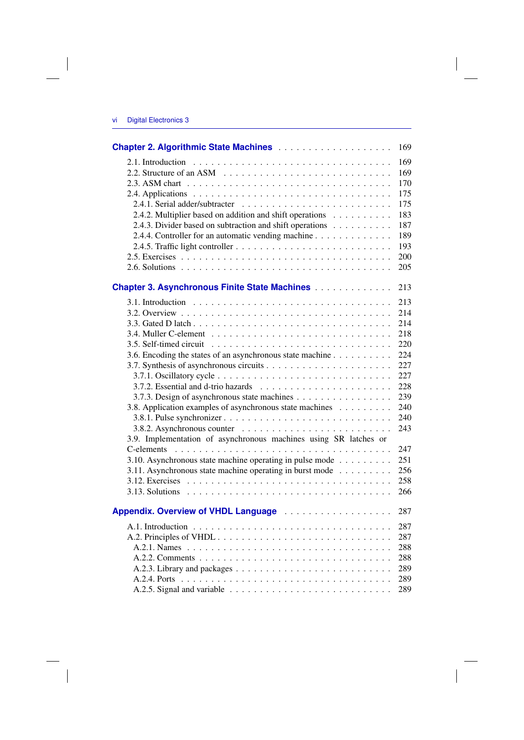|                                                                  | 169 |
|------------------------------------------------------------------|-----|
|                                                                  | 169 |
|                                                                  | 169 |
|                                                                  | 170 |
|                                                                  | 175 |
|                                                                  | 175 |
| 2.4.2. Multiplier based on addition and shift operations         | 183 |
| 2.4.3. Divider based on subtraction and shift operations         | 187 |
| 2.4.4. Controller for an automatic vending machine               | 189 |
|                                                                  | 193 |
|                                                                  | 200 |
|                                                                  | 205 |
| <b>Chapter 3. Asynchronous Finite State Machines</b>             | 213 |
|                                                                  | 213 |
|                                                                  | 214 |
|                                                                  | 214 |
|                                                                  | 218 |
|                                                                  | 220 |
| 3.6. Encoding the states of an asynchronous state machine        | 224 |
|                                                                  | 227 |
|                                                                  | 227 |
|                                                                  | 228 |
| 3.7.3. Design of asynchronous state machines                     | 239 |
| 3.8. Application examples of asynchronous state machines         | 240 |
|                                                                  | 240 |
|                                                                  | 243 |
| 3.9. Implementation of asynchronous machines using SR latches or |     |
|                                                                  | 247 |
| 3.10. Asynchronous state machine operating in pulse mode         | 251 |
| 3.11. Asynchronous state machine operating in burst mode         | 256 |
|                                                                  | 258 |
|                                                                  | 266 |
|                                                                  | 287 |
|                                                                  | 287 |
|                                                                  | 287 |
|                                                                  | 288 |
|                                                                  | 288 |
|                                                                  | 289 |
|                                                                  | 289 |
|                                                                  | 289 |